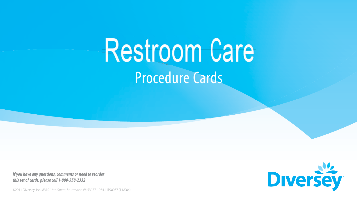# Procedure Cards Restroom Care

*If you have any questions, comments or need to reorder this set of cards, please call 1-800-558-2332*

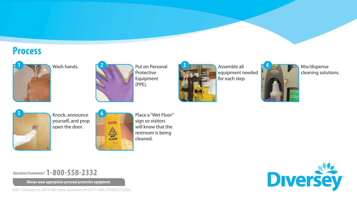### **Process**



Wash hands.



Put on Personal Protective Equipment (PPE).



Assemble all equipment needed for each step.



**3** Mix/dispense cleaning solutions.



Knock, announce yourself, and prop open the door.



Place a "Wet Floor" sign so visitors will know that the restroom is being cleaned.

*Questions/Comments?* **1-800-558-2332**

**Always wear appropriate personal protective equipment.**



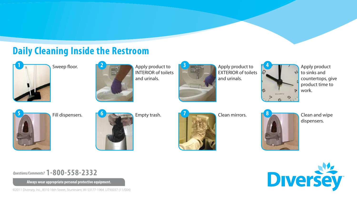## **Daily Cleaning Inside the Restroom**



Sweep floor.



Apply product to INTERIOR of toilets and urinals.



**3** Apply product to **14** Apply product EXTERIOR of toilets and urinals.



to sinks and countertops, give product time to work.







**Clean mirrors.** 



dispensers.



*Questions/Comments?* **1-800-558-2332**

**Always wear appropriate personal protective equipment.**



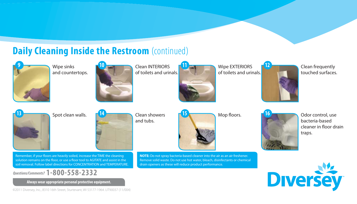#### **Daily Cleaning Inside the Restroom** (continued) **9 10** Clean INTERIORS Wipe EXTERIORS **11 12** Wipe sinks Clean frequently and countertops. of toilets and urinals. of toilets and urinals. touched surfaces. Spot clean walls. Mop fl oors. **13 15** Clean showers **14 16** Odor control, use and tubs. bacteria-based cleaner in floor drain traps. Remember, if your floors are heavily soiled, increase the TIME the cleaning **NOTE:** Do not spray bacteria-based cleaner into the air as an air freshener. solution remains on the floor, or use a floor tool to AGITATE and assist in the Remove solid waste. Do not use hot water, bleach, disinfectants or chemical soil removal. Follow label directions for CONCENTRATION and TEMPERATURE. drain openers as these will reduce product performance.**Diversey** *Questions/Comments?* **1-800-558-2332 Always wear appropriate personal protective equipment.**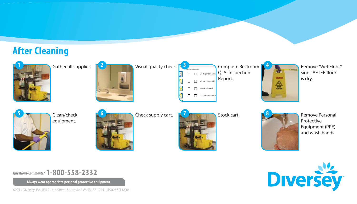## **After Cleaning**



Gather all supplies.



Visual quality check. **3**

 $\mathbb{R}$  . The same  $\mathbb{R}$ Q. A. Inspection **CONTROL** All dispensers restoc Report.  $\Box$ All trash receptacles e  $\Box$ Mirrors cleaned

Complete Restroom **4**

caumov  $\triangle$ 

Remove "Wet Floor" signs AFTER floor is dry.



Clean/check equipment.



Check supply cart.



 $\Box$  All sinks and cou

 $\Box$ 

 $\Box$ 

 $\Box$ 

Stock cart.



Remove Personal Protective Equipment (PPE) and wash hands.



*Questions/Comments?* **1-800-558-2332**

**Always wear appropriate personal protective equipment.**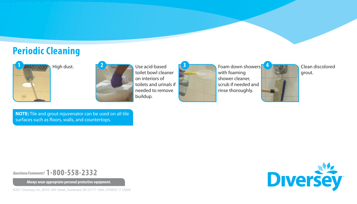## **Periodic Cleaning**





toilet bowl cleaner on interiors of toilets and urinals if needed to remove buildup.

**2 Example 2** Use acid-based **3 1 Foam down showers 4 Clean discolored** with foaming shower cleaner, scrub if needed and rinse thoroughly.



grout.

**NOTE:** Tile and grout rejuvenator can be used on all tile surfaces such as floors, walls, and countertops.

*Questions/Comments?* **1-800-558-2332**

**Always wear appropriate personal protective equipment.**